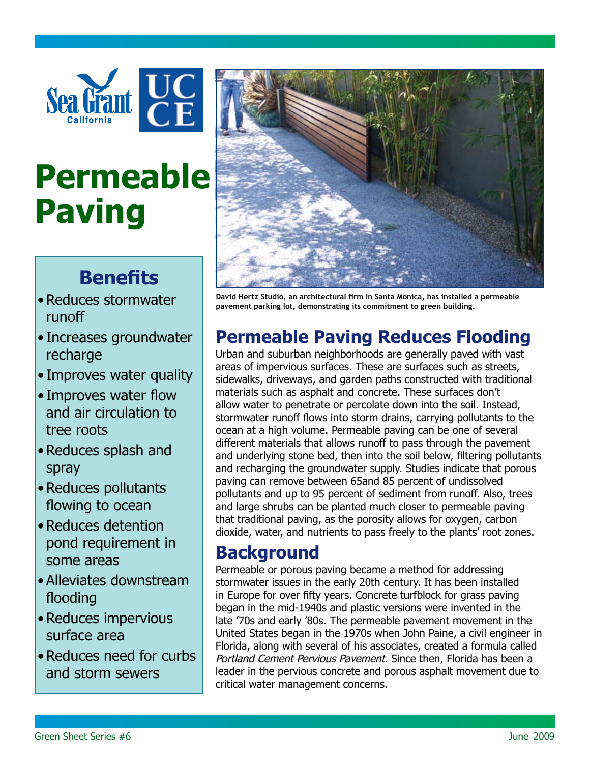

# **Permeable Paving**

## **Benefits**

- • Reduces stormwater runoff
- Increases groundwater recharge
- Improves water quality
- Improves water flow and air circulation to tree roots
- • Reduces splash and spray
- • Reduces pollutants flowing to ocean
- Reduces detention pond requirement in some areas
- • Alleviates downstream flooding
- • Reduces impervious surface area
- Reduces need for curbs and storm sewers



**David Hertz Studio, an architectural firm in Santa Monica, has installed a permeable pavement parking lot, demonstrating its commitment to green building.**

## **Permeable Paving Reduces Flooding**

Urban and suburban neighborhoods are generally paved with vast areas of impervious surfaces. These are surfaces such as streets, sidewalks, driveways, and garden paths constructed with traditional materials such as asphalt and concrete. These surfaces don't allow water to penetrate or percolate down into the soil. Instead, stormwater runoff flows into storm drains, carrying pollutants to the ocean at a high volume. Permeable paving can be one of several different materials that allows runoff to pass through the pavement and underlying stone bed, then into the soil below, filtering pollutants and recharging the groundwater supply. Studies indicate that porous paving can remove between 65and 85 percent of undissolved pollutants and up to 95 percent of sediment from runoff. Also, trees and large shrubs can be planted much closer to permeable paving that traditional paving, as the porosity allows for oxygen, carbon dioxide, water, and nutrients to pass freely to the plants' root zones.

#### **Background**

Permeable or porous paving became a method for addressing stormwater issues in the early 20th century. It has been installed in Europe for over fifty years. Concrete turfblock for grass paving began in the mid-1940s and plastic versions were invented in the late '70s and early '80s. The permeable pavement movement in the United States began in the 1970s when John Paine, a civil engineer in Florida, along with several of his associates, created a formula called Portland Cement Pervious Pavement. Since then, Florida has been a leader in the pervious concrete and porous asphalt movement due to critical water management concerns.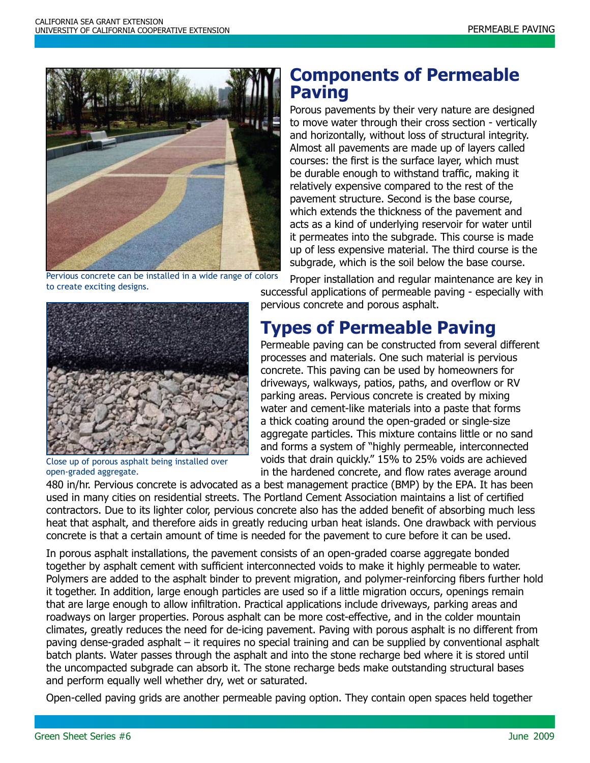

Pervious concrete can be installed in a wide range of colors to create exciting designs.



Close up of porous asphalt being installed over open-graded aggregate.

#### **Components of Permeable Paving**

Porous pavements by their very nature are designed to move water through their cross section - vertically and horizontally, without loss of structural integrity. Almost all pavements are made up of layers called courses: the first is the surface layer, which must be durable enough to withstand traffic, making it relatively expensive compared to the rest of the pavement structure. Second is the base course, which extends the thickness of the pavement and acts as a kind of underlying reservoir for water until it permeates into the subgrade. This course is made up of less expensive material. The third course is the subgrade, which is the soil below the base course.

Proper installation and regular maintenance are key in successful applications of permeable paving - especially with pervious concrete and porous asphalt.

## **Types of Permeable Paving**

Permeable paving can be constructed from several different processes and materials. One such material is pervious concrete. This paving can be used by homeowners for driveways, walkways, patios, paths, and overflow or RV parking areas. Pervious concrete is created by mixing water and cement-like materials into a paste that forms a thick coating around the open-graded or single-size aggregate particles. This mixture contains little or no sand and forms a system of "highly permeable, interconnected voids that drain quickly." 15% to 25% voids are achieved in the hardened concrete, and flow rates average around

480 in/hr. Pervious concrete is advocated as a best management practice (BMP) by the EPA. It has been used in many cities on residential streets. The Portland Cement Association maintains a list of certified contractors. Due to its lighter color, pervious concrete also has the added benefit of absorbing much less heat that asphalt, and therefore aids in greatly reducing urban heat islands. One drawback with pervious concrete is that a certain amount of time is needed for the pavement to cure before it can be used.

In porous asphalt installations, the pavement consists of an open-graded coarse aggregate bonded together by asphalt cement with sufficient interconnected voids to make it highly permeable to water. Polymers are added to the asphalt binder to prevent migration, and polymer-reinforcing fibers further hold it together. In addition, large enough particles are used so if a little migration occurs, openings remain that are large enough to allow infiltration. Practical applications include driveways, parking areas and roadways on larger properties. Porous asphalt can be more cost-effective, and in the colder mountain climates, greatly reduces the need for de-icing pavement. Paving with porous asphalt is no different from paving dense-graded asphalt – it requires no special training and can be supplied by conventional asphalt batch plants. Water passes through the asphalt and into the stone recharge bed where it is stored until the uncompacted subgrade can absorb it. The stone recharge beds make outstanding structural bases and perform equally well whether dry, wet or saturated.

Open-celled paving grids are another permeable paving option. They contain open spaces held together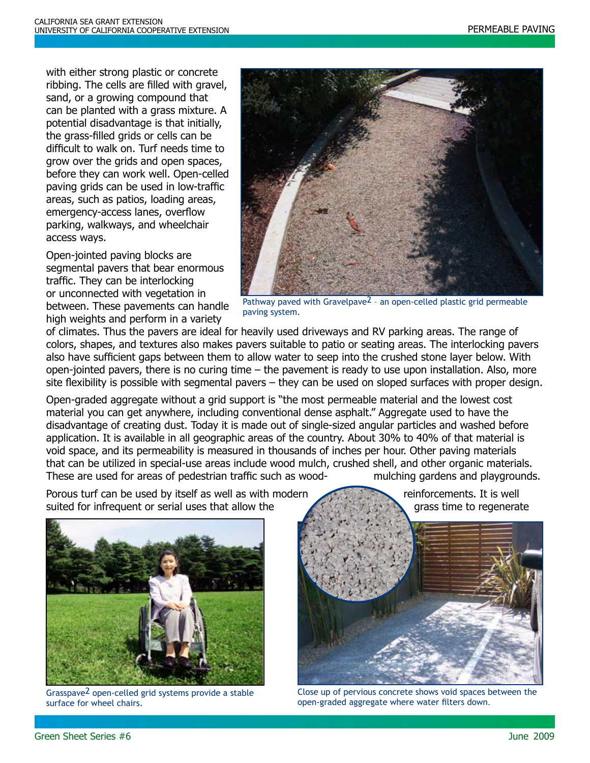with either strong plastic or concrete ribbing. The cells are filled with gravel, sand, or a growing compound that can be planted with a grass mixture. A potential disadvantage is that initially, the grass-filled grids or cells can be difficult to walk on. Turf needs time to grow over the grids and open spaces, before they can work well. Open-celled paving grids can be used in low-traffic areas, such as patios, loading areas, emergency-access lanes, overflow parking, walkways, and wheelchair access ways.

Open-jointed paving blocks are segmental pavers that bear enormous traffic. They can be interlocking or unconnected with vegetation in between. These pavements can handle high weights and perform in a variety



Pathway paved with Gravelpave2 – an open-celled plastic grid permeable paving system.

of climates. Thus the pavers are ideal for heavily used driveways and RV parking areas. The range of colors, shapes, and textures also makes pavers suitable to patio or seating areas. The interlocking pavers also have sufficient gaps between them to allow water to seep into the crushed stone layer below. With open-jointed pavers, there is no curing time – the pavement is ready to use upon installation. Also, more site flexibility is possible with segmental pavers – they can be used on sloped surfaces with proper design.

Open-graded aggregate without a grid support is "the most permeable material and the lowest cost material you can get anywhere, including conventional dense asphalt." Aggregate used to have the disadvantage of creating dust. Today it is made out of single-sized angular particles and washed before application. It is available in all geographic areas of the country. About 30% to 40% of that material is void space, and its permeability is measured in thousands of inches per hour. Other paving materials that can be utilized in special-use areas include wood mulch, crushed shell, and other organic materials. These are used for areas of pedestrian traffic such as wood- mulching gardens and playgrounds.

Porous turf can be used by itself as well as with modern reinforcements. It is well suited for infrequent or serial uses that allow the grass time to regenerate



Grasspave2 open-celled grid systems provide a stable surface for wheel chairs.



Close up of pervious concrete shows void spaces between the open-graded aggregate where water filters down.